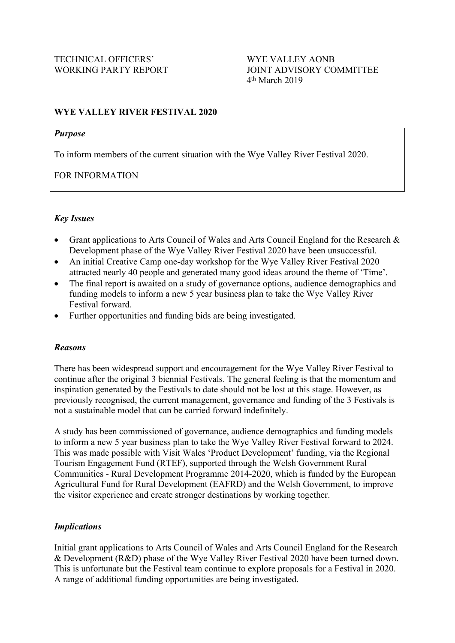## **WYE VALLEY RIVER FESTIVAL 2020**

### *Purpose*

To inform members of the current situation with the Wye Valley River Festival 2020.

FOR INFORMATION

## *Key Issues*

- Grant applications to Arts Council of Wales and Arts Council England for the Research & Development phase of the Wye Valley River Festival 2020 have been unsuccessful.
- An initial Creative Camp one-day workshop for the Wye Valley River Festival 2020 attracted nearly 40 people and generated many good ideas around the theme of 'Time'.
- The final report is awaited on a study of governance options, audience demographics and funding models to inform a new 5 year business plan to take the Wye Valley River Festival forward.
- Further opportunities and funding bids are being investigated.

## *Reasons*

There has been widespread support and encouragement for the Wye Valley River Festival to continue after the original 3 biennial Festivals. The general feeling is that the momentum and inspiration generated by the Festivals to date should not be lost at this stage. However, as previously recognised, the current management, governance and funding of the 3 Festivals is not a sustainable model that can be carried forward indefinitely.

A study has been commissioned of governance, audience demographics and funding models to inform a new 5 year business plan to take the Wye Valley River Festival forward to 2024. This was made possible with Visit Wales 'Product Development' funding, via the Regional Tourism Engagement Fund (RTEF), supported through the Welsh Government Rural Communities - Rural Development Programme 2014-2020, which is funded by the European Agricultural Fund for Rural Development (EAFRD) and the Welsh Government, to improve the visitor experience and create stronger destinations by working together.

## *Implications*

Initial grant applications to Arts Council of Wales and Arts Council England for the Research & Development (R&D) phase of the Wye Valley River Festival 2020 have been turned down. This is unfortunate but the Festival team continue to explore proposals for a Festival in 2020. A range of additional funding opportunities are being investigated.